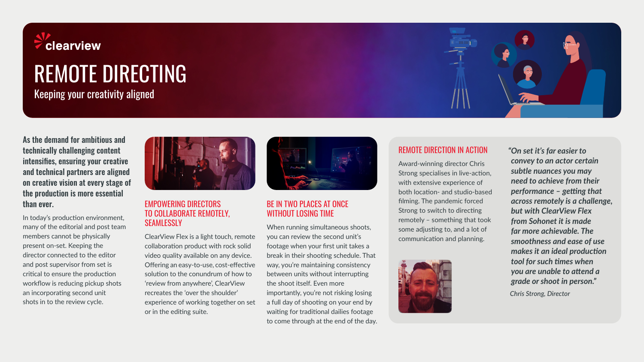

# REMOTE DIRECTING

Keeping your creativity aligned

As the demand for ambitious and technically challenging content intensifies, ensuring your creative and technical partners are aligned on creative vision at every stage of the production is more essential than ever.

In today's production environment, many of the editorial and post team members cannot be physically present on-set. Keeping the director connected to the editor and post supervisor from set is critical to ensure the production workflow is reducing pickup shots an incorporating second unit shots in to the review cycle.



#### EMPOWERING DIRECTORS TO COLLABORATE REMOTELY, **SEAMLESSLY**

ClearView Flex is a light touch, remote collaboration product with rock solid video quality available on any device. Offering an easy-to-use, cost-effective solution to the conundrum of how to 'review from anywhere', ClearView recreates the 'over the shoulder' experience of working together on set or in the editing suite.



# BE IN TWO PLACES AT ONCE WITHOUT LOSING TIME

When running simultaneous shoots, you can review the second unit's footage when your first unit takes a break in their shooting schedule. That way, you're maintaining consistency between units without interrupting the shoot itself. Even more importantly, you're not risking losing a full day of shooting on your end by waiting for traditional dailies footage to come through at the end of the day.

#### REMOTE DIRECTION IN ACTION

Award-winning director Chris Strong specialises in live-action, with extensive experience of both location- and studio-based filming. The pandemic forced Strong to switch to directing remotely – something that took some adjusting to, and a lot of communication and planning.



*"On set it's far easier to convey to an actor certain subtle nuances you may need to achieve from their performance – getting that across remotely is a challenge, but with ClearView Flex from Sohonet it is made far more achievable. The smoothness and ease of use makes it an ideal production tool for such times when you are unable to attend a grade or shoot in person."*

*Chris Strong, Director*